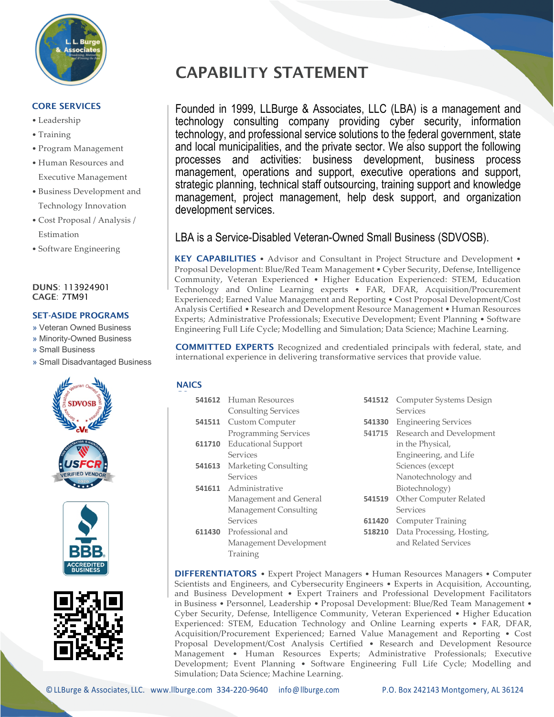

# CORE SERVICES

- Leadership
- Training
- Program Management
- Human Resources and Executive Management
- Business Development and Technology Innovation
- Cost Proposal / Analysis / Estimation
- Software Engineering

### DUNS: 113924901 CAGE: 7TM91 .

# SET-ASIDE PROGRAMS

- » Veteran Owned Business
- » Minority-Owned Business
- » Small Business
- » Small Disadvantaged Business







# CAPABILITY STATEMENT

Founded in 1999, LLBurge & Associates, LLC (LBA) is a management and technology consulting company providing cyber security, information technology, and professional service solutions to the federal government, state and local municipalities, and the private sector. We also support the following processes and activities: business development, business process management, operations and support, executive operations and support, strategic planning, technical staff outsourcing, training support and knowledge management, project management, help desk support, and organization development services.

# LBA is a Service-Disabled Veteran-Owned Small Business (SDVOSB).

KEY CAPABILITIES • Advisor and Consultant in Project Structure and Development • Proposal Development: Blue/Red Team Management • Cyber Security, Defense, Intelligence Community, Veteran Experienced • Higher Education Experienced: STEM, Education Technology and Online Learning experts • FAR, DFAR, Acquisition/Procurement Experienced; Earned Value Management and Reporting • Cost Proposal Development/Cost Analysis Certified • Research and Development Resource Management • Human Resources Experts; Administrative Professionals; Executive Development; Event Planning • Software Engineering Full Life Cycle; Modelling and Simulation; Data Science; Machine Learning.

COMMITTED EXPERTS Recognized and credentialed principals with federal, state, and international experience in delivering transformative services that provide value.

# **NAICS**

|        | <b>541612</b> Human Resources | 541512 | Computer Systems Design     |
|--------|-------------------------------|--------|-----------------------------|
|        | <b>Consulting Services</b>    |        | Services                    |
|        | <b>541511</b> Custom Computer | 541330 | <b>Engineering Services</b> |
|        | Programming Services          | 541715 | Research and Development    |
| 611710 | <b>Educational Support</b>    |        | in the Physical,            |
|        | Services                      |        | Engineering, and Life       |
| 541613 | Marketing Consulting          |        | Sciences (except            |
|        | Services                      |        | Nanotechnology and          |
|        | 541611 Administrative         |        | Biotechnology)              |
|        | Management and General        | 541519 | Other Computer Related      |
|        | Management Consulting         |        | Services                    |
|        | Services                      | 611420 | <b>Computer Training</b>    |
|        | 611430 Professional and       | 518210 | Data Processing, Hosting,   |
|        | Management Development        |        | and Related Services        |
|        | Training                      |        |                             |

DIFFERENTIATORS • Expert Project Managers • Human Resources Managers • Computer Scientists and Engineers, and Cybersecurity Engineers • Experts in Acquisition, Accounting, and Business Development • Expert Trainers and Professional Development Facilitators in Business • Personnel, Leadership • Proposal Development: Blue/Red Team Management • Cyber Security, Defense, Intelligence Community, Veteran Experienced • Higher Education Experienced: STEM, Education Technology and Online Learning experts • FAR, DFAR, Acquisition/Procurement Experienced; Earned Value Management and Reporting • Cost Proposal Development/Cost Analysis Certified • Research and Development Resource Management • Human Resources Experts; Administrative Professionals; Executive Development; Event Planning • Software Engineering Full Life Cycle; Modelling and Simulation; Data Science; Machine Learning.